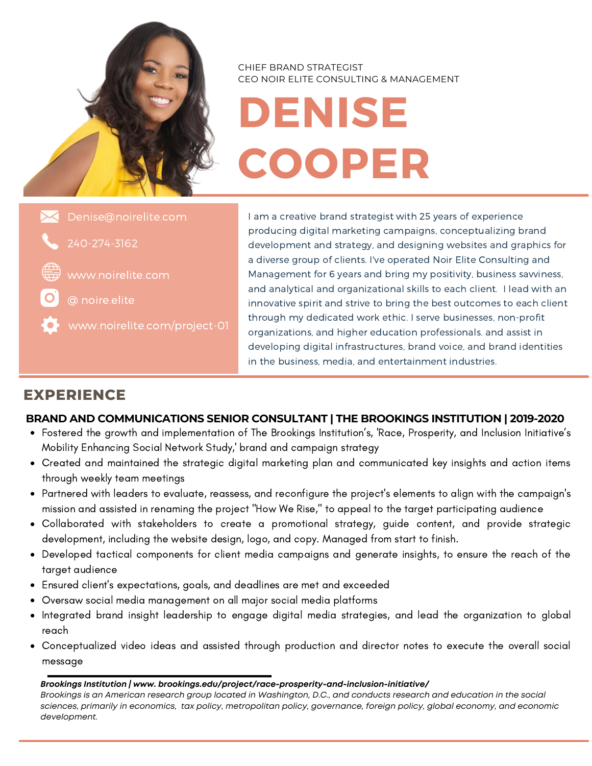

CHIEF BRAND STRATEGIST CEO NOIR ELITE CONSULTING & MANAGEMENT

# **DENISE COOPER**

240-274-3162 Denise@noirelite.com

www.noirelite.com

@ noire.elite

I am a creative brand strategist with 25 years of experience producing digital marketing campaigns, conceptualizing brand development and strategy, and designing websites and graphics for a diverse group of clients. I've operated Noir Elite Consulting and Management for 6 years and bring my positivity, business savviness, and analytical and organizational skills to each client. I lead with an innovative spirit and strive to bring the best outcomes to each client through my dedicated work ethic. I serve businesses, non-profit organizations, and higher education professionals. and assist in developing digital infrastructures, brand voice, and brand identities in the business, media, and entertainment industries.

## **EXPERIENCE**

### **BRAND AND COMMUNICATIONS SENIOR CONSULTANT | THE BROOKINGS INSTITUTION | 2019-2020**

- Fostered the growth and implementation of The Brookings Institution's, 'Race, Prosperity, and Inclusion Initiative's Mobility Enhancing Social Network Study,' brand and campaign strategy
- Created and maintained the strategic digital marketing plan and communicated key insights and action items through weekly team meetings
- Partnered with leaders to evaluate, reassess, and reconfigure the project's elements to align with the campaign's mission and assisted in renaming the project "How We Rise," to appeal to the target participating audience
- Collaborated with stakeholders to create a promotional strategy, guide content, and provide strategic development, including the website design, logo, and copy. Managed from start to finish.
- Developed tactical components for client media campaigns and generate insights, to ensure the reach of the target audience
- Ensured client's expectations, goals, and deadlines are met and exceeded
- Oversaw social media management on all major social media platforms
- Integrated brand insight leadership to engage digital media strategies, and lead the organization to global reach
- Conceptualized video ideas and assisted through production and director notes to execute the overall social message

#### *Brookings Institution | www. brookings.edu/project/race-prosperity-and-inclusion-initiative/*

Brookings is an American research group located in Washington, D.C., and conducts research and education in the social sciences, primarily in economics, tax policy, metropolitan policy, governance, foreign policy, global economy, and economic *development.*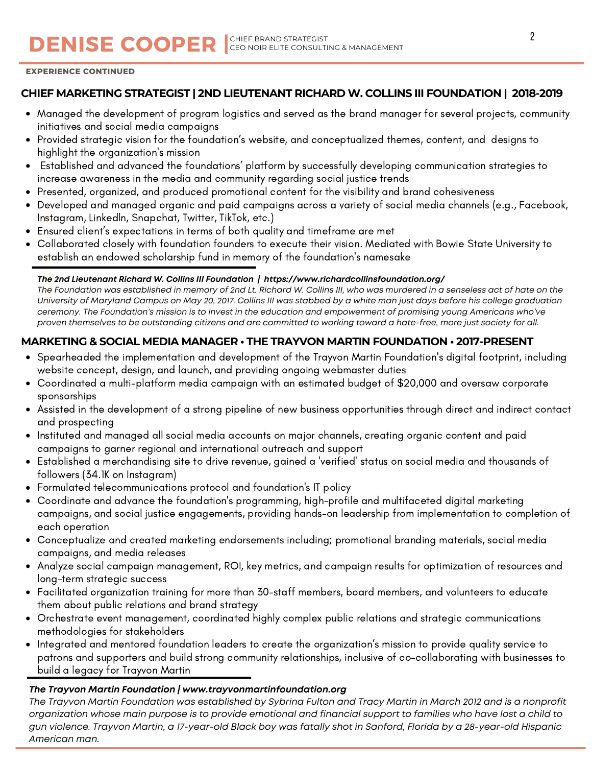## CEO NOIR ELITE CONSULTING & MANAGEMENT

#### **EXPERIENCE CONTINUED**

#### **CHIEF MARKETING STRATEGIST | 2ND LIEUTENANT RICHARD W. COLLINS III FOUNDATION | 2018-2019**

- Managed the development of program logistics and served as the brand manager for several projects, community initiatives and social media campaigns
- Provided strategic vision for the foundation's website, and conceptualized themes, content, and designs to highlight the organization's mission
- Established and advanced the foundations' platform by successfully developing communication strategies to increase awareness in the media and community regarding social justice trends
- Presented, organized, and produced promotional content for the visibility and brand cohesiveness
- Developed and managed organic and paid campaigns across a variety of social media channels (e.g., Facebook, Instagram, Linkedln, Snapchat, Twitter, TikTok, etc.)
- Ensured client's expectations in terms of both quality and timeframe are met
- Collaborated closely with foundation founders to execute their vision. Mediated with Bowie State University to establish an endowed scholarship fund in memory of the foundation's namesake

#### *The 2nd Lieutenant Richard W. Collins III Foundation | https://www.richardcollinsfoundation.org/*

The Foundation was established in memory of 2nd Lt. Richard W. Collins III, who was murdered in a senseless act of hate on the University of Maryland Campus on May 20, 2017. Collins III was stabbed by a white man just days before his college graduation ceremony. The Foundation's mission is to invest in the education and empowerment of promising young Americans who've proven themselves to be outstanding citizens and are committed to working toward a hate-free, more just society for all.

#### **MARKETING & SOCIAL MEDIA MANAGER • THE TRAYVON MARTIN FOUNDATION • 2017-PRESENT**

- Spearheaded the implementation and development of the Trayvon Martin Foundation's digital footprint, including website concept, design, and launch, and providing ongoing webmaster duties
- Coordinated a multi-platform media campaign with an estimated budget of \$20,000 and oversaw corporate sponsorships
- Assisted in the development of a strong pipeline of new business opportunities through direct and indirect contact and prospecting
- Instituted and managed all social media accounts on major channels, creating organic content and paid campaigns to garner regional and international outreach and support
- Established a merchandising site to drive revenue, gained a 'verified' status on social media and thousands of followers (34.1K on Instagram)
- Formulated telecommunications protocol and foundation's IT policy
- Coordinate and advance the foundation's programming, high-profile and multifaceted digital marketing campaigns, and social justice engagements, providing hands-on leadership from implementation to completion of each operation
- Conceptualize and created marketing endorsements including; promotional branding materials, social media campaigns, and media releases
- Analyze social campaign management, ROI, key metrics, and campaign results for optimization of resources and long-term strategic success
- Facilitated organization training for more than 30-staff members, board members, and volunteers to educate them about public relations and brand strategy
- Orchestrate event management, coordinated highly complex public relations and strategic communications methodologies for stakeholders
- Integrated and mentored foundation leaders to create the organization's mission to provide quality service to patrons and supporters and build strong community relationships, inclusive of co-collaborating with businesses to build a legacy for Trayvon Martin

#### *The Trayvon Martin Foundation | www.trayvonmartinfoundation.org*

The Trayvon Martin Foundation was established by Sybrina Fulton and Tracy Martin in March 2012 and is a nonprofit organization whose main purpose is to provide emotional and financial support to families who have lost a child to gun violence. Trayvon Martin, a 17-year-old Black boy was fatally shot in Sanford, Florida by a 28-year-old Hispanic *American man.*